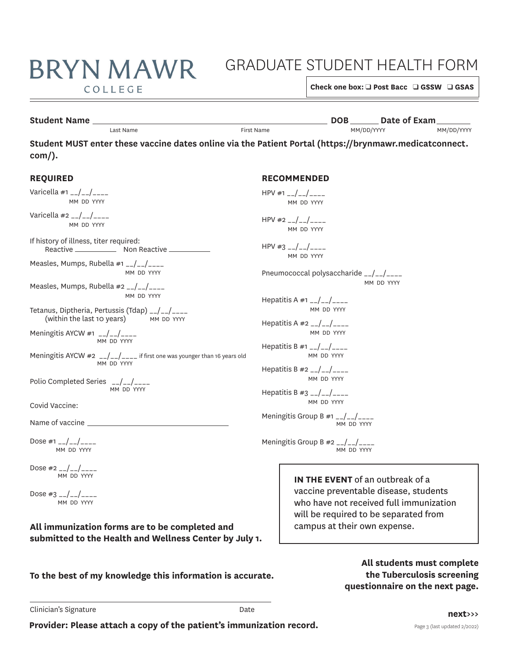# GRADUATE STUDENT HEALTH FORM

COLLEGE

**BRYN MAWR** 

**Check one box: □ Post Bacc □ GSSW □ GSAS** 

## **Student Name** Last Name **DOB DATE:** Date of Exam **DATE:** Name **DOB DATE:** Date of Exam **DATE:** Date of Exam **DATE:** Date of Exam **DATE:** DATE: Date of Exam **DATE:** DATE: DATE: DATE: DATE: DATE: DATE: DATE: DATE: DATE:

MM DD VVVV

Last Name First Name MM/DD/YYYY MM/DD/YYYY

**Student MUST enter these vaccine dates online via the Patient Portal (<https://brynmawr.medicatconnect>. com/).** 

#### Reactive \_\_\_\_\_\_\_\_\_\_\_\_\_\_ Non Reactive (within the last 10 years) MM DD YYYY **RECOMMENDED**  HPV #1  $-$ / $-$ / $-$ MM DD YYYY  $HPV #2$  \_\_/\_\_/\_\_\_\_ MM DD YYYY  $HPV #3$  \_\_/\_\_/\_\_\_\_ MM DD YYYY Pneumococcal polysaccharide \_\_/\_\_/\_\_\_\_ Hepatitis A  $#1$   $_{-}/$   $_{-}/$   $_{---}$ MM DD YYYY Hepatitis A  $#2$   $_{--}/$   $_{--}/$ MM DD YYYY Hepatitis B #1  $_{-}/_{-}/_{---}$ MM DD YYYY Hepatitis B  $#2$   $_{-}/$   $_{-}/$   $_{---}$ MM DD YYYY Hepatitis B  $#3$   $_{--}/$   $_{--}/$ MM DD YYYY Meningitis Group B  $#1$   $_{--}/$   $_{--}/$ MM DD YYYY Meningitis Group B  $#2$   $_{--}/$   $_{--}/$ MM DD YYYY **IN THE EVENT** of an outbreak of a vaccine preventable disease, students who have not received full immunization **REQUIRED**  Varicella  $#1$   $_{--}/$   $_{--}/$ MM DD YYYY Varicella #2  $_{-}/_{-}/_{---}$ MM DD YYYY If history of illness, titer required: Measles, Mumps, Rubella #1 \_\_/\_\_/\_\_\_\_ MM DD YYYY Measles, Mumps, Rubella #2 \_\_/\_\_/\_\_\_\_ MM DD YYYY Tetanus, Diptheria, Pertussis (Tdap)  $_{-}/\_/$ <br>(within the last 10 years) MM DD YYYY Meningitis AYCW #1  $_{-}/_{-}/_{---}$ MM DD YYYY Meningitis AYCW  $\#2$   $_{--}/\_/$  $_{---}$  if first one was younger than 16 years old MM DD YYYY Polio Completed Series \_\_/\_\_/\_\_\_ MM DD YYYY Covid Vaccine: Name of vaccine Dose #1  $_{-}/_{-}/_{---}$ MM DD YYYY Dose  $\#2$  \_\_/\_\_/\_\_\_\_ MM DD YYYY Dose  $\#3$   $_{--}/\_/$ MM DD YYYY

## **All immunization forms are to be completed and submitted to the Health and Wellness Center by July 1.**

**To the best of my knowledge this information is accurate.** 

**All students must complete the Tuberculosis screening questionnaire on the next page.** 

will be required to be separated from

campus at their own expense.

Clinician's Signature **Date** Date **Date**